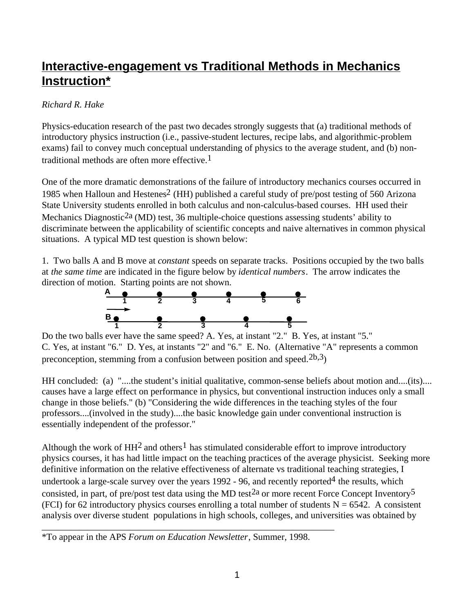## **Interactive-engagement vs Traditional Methods in Mechanics Instruction\***

## *Richard R. Hake*

Physics-education research of the past two decades strongly suggests that (a) traditional methods of introductory physics instruction (i.e., passive-student lectures, recipe labs, and algorithmic-problem exams) fail to convey much conceptual understanding of physics to the average student, and (b) nontraditional methods are often more effective.1

One of the more dramatic demonstrations of the failure of introductory mechanics courses occurred in 1985 when Halloun and Hestenes<sup>2</sup> (HH) published a careful study of pre/post testing of 560 Arizona State University students enrolled in both calculus and non-calculus-based courses. HH used their Mechanics Diagnostic<sup>2a</sup> (MD) test, 36 multiple-choice questions assessing students' ability to discriminate between the applicability of scientific concepts and naive alternatives in common physical situations. A typical MD test question is shown below:

1. Two balls A and B move at *constant* speeds on separate tracks. Positions occupied by the two balls at *the same time* are indicated in the figure below by *identical numbers*. The arrow indicates the direction of motion. Starting points are not shown.



Do the two balls ever have the same speed? A. Yes, at instant "2." B. Yes, at instant "5." C. Yes, at instant "6." D. Yes, at instants "2" and "6." E. No. (Alternative "A" represents a common preconception, stemming from a confusion between position and speed.2b,3)

HH concluded: (a) "....the student's initial qualitative, common-sense beliefs about motion and....(its).... causes have a large effect on performance in physics, but conventional instruction induces only a small change in those beliefs." (b) "Considering the wide differences in the teaching styles of the four professors....(involved in the study)....the basic knowledge gain under conventional instruction is essentially independent of the professor."

Although the work of  $HH^2$  and others<sup>1</sup> has stimulated considerable effort to improve introductory physics courses, it has had little impact on the teaching practices of the average physicist. Seeking more definitive information on the relative effectiveness of alternate vs traditional teaching strategies, I undertook a large-scale survey over the years  $1992 - 96$ , and recently reported<sup>4</sup> the results, which consisted, in part, of pre/post test data using the MD test<sup>2a</sup> or more recent Force Concept Inventory<sup>5</sup> (FCI) for 62 introductory physics courses enrolling a total number of students  $N = 6542$ . A consistent analysis over diverse student populations in high schools, colleges, and universities was obtained by

\*To appear in the APS *Forum on Education Newsletter*, Summer, 1998.

\_\_\_\_\_\_\_\_\_\_\_\_\_\_\_\_\_\_\_\_\_\_\_\_\_\_\_\_\_\_\_\_\_\_\_\_\_\_\_\_\_\_\_\_\_\_\_\_\_\_\_\_\_\_\_\_\_\_\_\_\_\_\_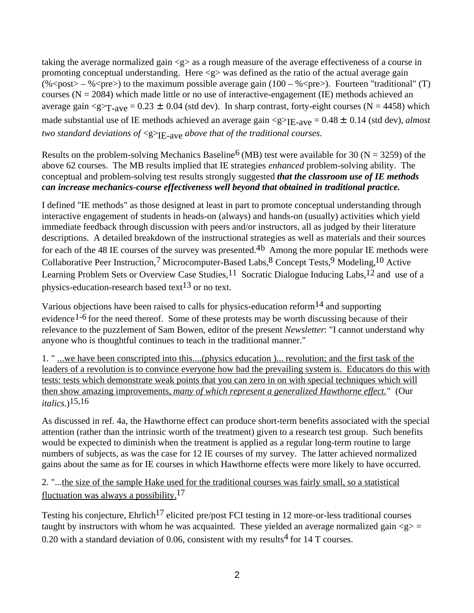taking the average normalized gain  $\langle g \rangle$  as a rough measure of the average effectiveness of a course in promoting conceptual understanding. Here  $\langle g \rangle$  was defined as the ratio of the actual average gain (% < post > - % < pre > to the maximum possible average gain  $(100 - %$  < pre >  $)$ . Fourteen "traditional" (T) courses ( $N = 2084$ ) which made little or no use of interactive-engagement (IE) methods achieved an average gain  $\langle g \rangle_{T-ave} = 0.23 \pm 0.04$  (std dev). In sharp contrast, forty-eight courses (N = 4458) which made substantial use of IE methods achieved an average gain <g><sub>IE-ave</sub> = 0.48 ± 0.14 (std dev), *almost two standard deviations of* <g><sub>IE-ave</sub> *above that of the traditional courses.* 

Results on the problem-solving Mechanics Baseline<sup>6</sup> (MB) test were available for 30 (N = 3259) of the above 62 courses. The MB results implied that IE strategies *enhanced* problem-solving ability. The conceptual and problem-solving test results strongly suggested *that the classroom use of IE methods can increase mechanics-course effectiveness well beyond that obtained in traditional practice.*

I defined "IE methods" as those designed at least in part to promote conceptual understanding through interactive engagement of students in heads-on (always) and hands-on (usually) activities which yield immediate feedback through discussion with peers and/or instructors, all as judged by their literature descriptions. A detailed breakdown of the instructional strategies as well as materials and their sources for each of the 48 IE courses of the survey was presented.<sup>4b</sup> Among the more popular IE methods were Collaborative Peer Instruction,7 Microcomputer-Based Labs,8 Concept Tests,9 Modeling,10 Active Learning Problem Sets or Overview Case Studies,<sup>11</sup> Socratic Dialogue Inducing Labs,<sup>12</sup> and use of a physics-education-research based text<sup>13</sup> or no text.

Various objections have been raised to calls for physics-education reform<sup>14</sup> and supporting evidence<sup>1-6</sup> for the need thereof. Some of these protests may be worth discussing because of their relevance to the puzzlement of Sam Bowen, editor of the present *Newsletter*: "I cannot understand why anyone who is thoughtful continues to teach in the traditional manner."

1. " ...we have been conscripted into this....(physics education )... revolution; and the first task of the leaders of a revolution is to convince everyone how bad the prevailing system is. Educators do this with tests: tests which demonstrate weak points that you can zero in on with special techniques which will then show amazing improvements, *many of which represent a generalized Hawthorne effect.*" (Our *italics*.)15,16

As discussed in ref. 4a, the Hawthorne effect can produce short-term benefits associated with the special attention (rather than the intrinsic worth of the treatment) given to a research test group. Such benefits would be expected to diminish when the treatment is applied as a regular long-term routine to large numbers of subjects, as was the case for 12 IE courses of my survey. The latter achieved normalized gains about the same as for IE courses in which Hawthorne effects were more likely to have occurred.

2. "...the size of the sample Hake used for the traditional courses was fairly small, so a statistical fluctuation was always a possibility.17

Testing his conjecture,  $Ehrlich<sup>17</sup> elicited pre/post FCI testing in 12 more-or-less traditional courses$ taught by instructors with whom he was acquainted. These yielded an average normalized gain  $\langle g \rangle$  = 0.20 with a standard deviation of 0.06, consistent with my results<sup>4</sup> for 14 T courses.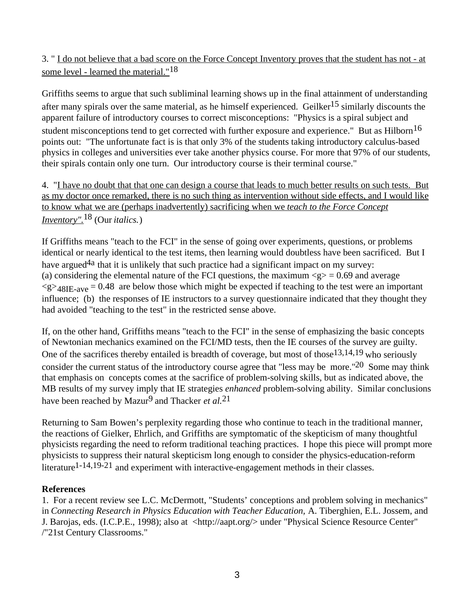3. " I do not believe that a bad score on the Force Concept Inventory proves that the student has not - at some level - learned the material."<sup>18</sup>

Griffiths seems to argue that such subliminal learning shows up in the final attainment of understanding after many spirals over the same material, as he himself experienced. Geilker<sup>15</sup> similarly discounts the apparent failure of introductory courses to correct misconceptions: "Physics is a spiral subject and student misconceptions tend to get corrected with further exposure and experience." But as Hilborn<sup>16</sup> points out: "The unfortunate fact is is that only 3% of the students taking introductory calculus-based physics in colleges and universities ever take another physics course. For more that 97% of our students, their spirals contain only one turn. Our introductory course is their terminal course."

4. "I have no doubt that that one can design a course that leads to much better results on such tests. But as my doctor once remarked, there is no such thing as intervention without side effects, and I would like to know what we are (perhaps inadvertently) sacrificing when we *teach to the Force Concept Inventory".*18 (Our *italics.*)

If Griffiths means "teach to the FCI" in the sense of going over experiments, questions, or problems identical or nearly identical to the test items, then learning would doubtless have been sacrificed. But I have argued<sup>4a</sup> that it is unlikely that such practice had a significant impact on my survey: (a) considering the elemental nature of the FCI questions, the maximum  $\langle g \rangle = 0.69$  and average  $\langle$ g><sub>48IE-ave</sub> = 0.48 are below those which might be expected if teaching to the test were an important influence; (b) the responses of IE instructors to a survey questionnaire indicated that they thought they had avoided "teaching to the test" in the restricted sense above.

If, on the other hand, Griffiths means "teach to the FCI" in the sense of emphasizing the basic concepts of Newtonian mechanics examined on the FCI/MD tests, then the IE courses of the survey are guilty. One of the sacrifices thereby entailed is breadth of coverage, but most of those<sup>13,14,19</sup> who seriously consider the current status of the introductory course agree that "less may be more."20 Some may think that emphasis on concepts comes at the sacrifice of problem-solving skills, but as indicated above, the MB results of my survey imply that IE strategies *enhanced* problem-solving ability. Similar conclusions have been reached by Mazur<sup>9</sup> and Thacker *et al.*<sup>21</sup>

Returning to Sam Bowen's perplexity regarding those who continue to teach in the traditional manner, the reactions of Gielker, Ehrlich, and Griffiths are symptomatic of the skepticism of many thoughtful physicists regarding the need to reform traditional teaching practices. I hope this piece will prompt more physicists to suppress their natural skepticism long enough to consider the physics-education-reform literature<sup>1-14,19-21</sup> and experiment with interactive-engagement methods in their classes.

## **References**

1. For a recent review see L.C. McDermott, "Students' conceptions and problem solving in mechanics" in *Connecting Research in Physics Education with Teacher Education*, A. Tiberghien, E.L. Jossem, and J. Barojas, eds. (I.C.P.E., 1998); also at <http://aapt.org/> under "Physical Science Resource Center" /"21st Century Classrooms."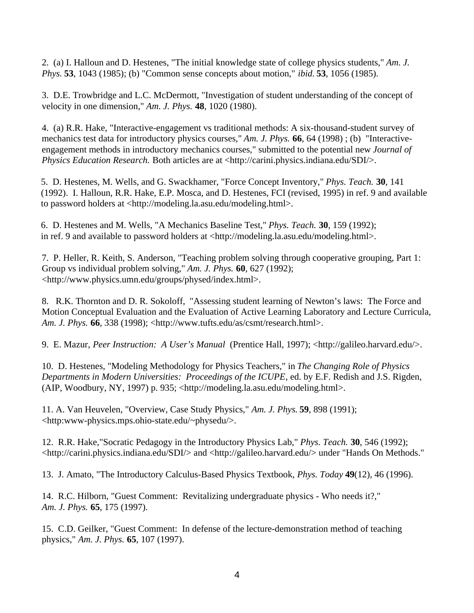2. (a) I. Halloun and D. Hestenes, "The initial knowledge state of college physics students," *Am. J. Phys.* **53**, 1043 (1985); (b) "Common sense concepts about motion," *ibid.* **53**, 1056 (1985).

3. D.E. Trowbridge and L.C. McDermott, "Investigation of student understanding of the concept of velocity in one dimension," *Am. J. Phys.* **48**, 1020 (1980).

4. (a) R.R. Hake, "Interactive-engagement vs traditional methods: A six-thousand-student survey of mechanics test data for introductory physics courses," *Am. J. Phys.* **66**, 64 (1998) ; (b) "Interactiveengagement methods in introductory mechanics courses," submitted to the potential new *Journal of Physics Education Research.* Both articles are at <http://carini.physics.indiana.edu/SDI/>.

5. D. Hestenes, M. Wells, and G. Swackhamer, "Force Concept Inventory," *Phys. Teach.* **30**, 141 (1992). I. Halloun, R.R. Hake, E.P. Mosca, and D. Hestenes, FCI (revised, 1995) in ref. 9 and available to password holders at <http://modeling.la.asu.edu/modeling.html>.

6. D. Hestenes and M. Wells, "A Mechanics Baseline Test," *Phys. Teach.* **30**, 159 (1992); in ref. 9 and available to password holders at <http://modeling.la.asu.edu/modeling.html>.

7. P. Heller, R. Keith, S. Anderson, "Teaching problem solving through cooperative grouping, Part 1: Group vs individual problem solving," *Am. J. Phys.* **60**, 627 (1992); <http://www.physics.umn.edu/groups/physed/index.html>.

8. R.K. Thornton and D. R. Sokoloff, "Assessing student learning of Newton's laws: The Force and Motion Conceptual Evaluation and the Evaluation of Active Learning Laboratory and Lecture Curricula, *Am. J. Phys.* **66**, 338 (1998); <http://www.tufts.edu/as/csmt/research.html>.

9. E. Mazur, *Peer Instruction: A User's Manual* (Prentice Hall, 1997); <http://galileo.harvard.edu/>.

10. D. Hestenes, "Modeling Methodology for Physics Teachers," in *The Changing Role of Physics Departments in Modern Universities: Proceedings of the ICUPE*, ed. by E.F. Redish and J.S. Rigden, (AIP, Woodbury, NY, 1997) p. 935; <http://modeling.la.asu.edu/modeling.html>.

11. A. Van Heuvelen, "Overview, Case Study Physics," *Am. J. Phys.* **59**, 898 (1991); <http:www-physics.mps.ohio-state.edu/~physedu/>.

12. R.R. Hake,"Socratic Pedagogy in the Introductory Physics Lab," *Phys. Teach.* **30**, 546 (1992); <http://carini.physics.indiana.edu/SDI/> and <http://galileo.harvard.edu/> under "Hands On Methods."

13. J. Amato, "The Introductory Calculus-Based Physics Textbook, *Phys. Today* **49**(12), 46 (1996).

14. R.C. Hilborn, "Guest Comment: Revitalizing undergraduate physics - Who needs it?," *Am. J. Phys.* **65**, 175 (1997).

15. C.D. Geilker, "Guest Comment: In defense of the lecture-demonstration method of teaching physics," *Am. J. Phys.* **65**, 107 (1997).